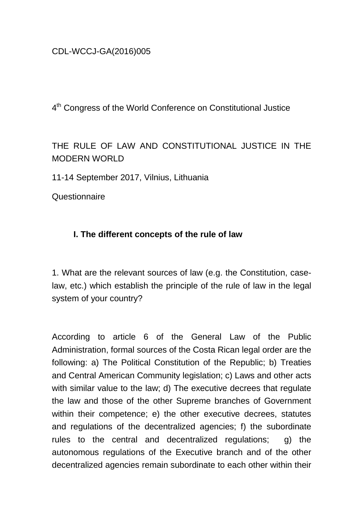# CDL-WCCJ-GA(2016)005

4<sup>th</sup> Congress of the World Conference on Constitutional Justice

THE RULE OF LAW AND CONSTITUTIONAL JUSTICE IN THE MODERN WORLD

11-14 September 2017, Vilnius, Lithuania

**Questionnaire** 

## **I. The different concepts of the rule of law**

1. What are the relevant sources of law (e.g. the Constitution, caselaw, etc.) which establish the principle of the rule of law in the legal system of your country?

According to article 6 of the General Law of the Public Administration, formal sources of the Costa Rican legal order are the following: a) The Political Constitution of the Republic; b) Treaties and Central American Community legislation; c) Laws and other acts with similar value to the law; d) The executive decrees that regulate the law and those of the other Supreme branches of Government within their competence; e) the other executive decrees, statutes and regulations of the decentralized agencies; f) the subordinate rules to the central and decentralized regulations; g) the autonomous regulations of the Executive branch and of the other decentralized agencies remain subordinate to each other within their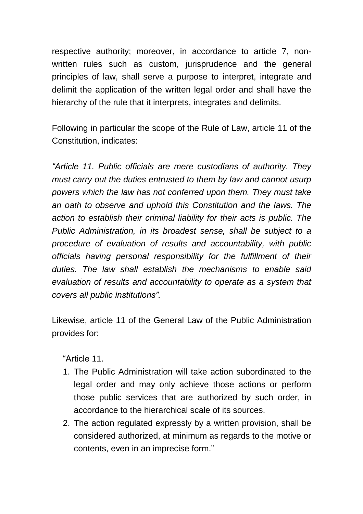respective authority; moreover, in accordance to article 7, nonwritten rules such as custom, jurisprudence and the general principles of law, shall serve a purpose to interpret, integrate and delimit the application of the written legal order and shall have the hierarchy of the rule that it interprets, integrates and delimits.

Following in particular the scope of the Rule of Law, article 11 of the Constitution, indicates:

*"Article 11. Public officials are mere custodians of authority. They must carry out the duties entrusted to them by law and cannot usurp powers which the law has not conferred upon them. They must take an oath to observe and uphold this Constitution and the laws. The action to establish their criminal liability for their acts is public. The Public Administration, in its broadest sense, shall be subject to a procedure of evaluation of results and accountability, with public officials having personal responsibility for the fulfillment of their duties. The law shall establish the mechanisms to enable said evaluation of results and accountability to operate as a system that covers all public institutions".*

Likewise, article 11 of the General Law of the Public Administration provides for:

"Article 11.

- 1. The Public Administration will take action subordinated to the legal order and may only achieve those actions or perform those public services that are authorized by such order, in accordance to the hierarchical scale of its sources.
- 2. The action regulated expressly by a written provision, shall be considered authorized, at minimum as regards to the motive or contents, even in an imprecise form."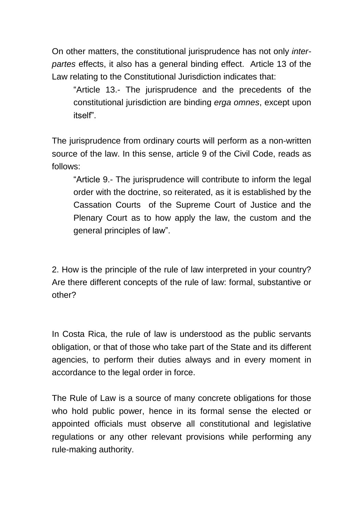On other matters, the constitutional jurisprudence has not only *interpartes* effects, it also has a general binding effect. Article 13 of the Law relating to the Constitutional Jurisdiction indicates that:

"Article 13.- The jurisprudence and the precedents of the constitutional jurisdiction are binding *erga omnes*, except upon itself".

The jurisprudence from ordinary courts will perform as a non-written source of the law. In this sense, article 9 of the Civil Code, reads as follows:

"Article 9.- The jurisprudence will contribute to inform the legal order with the doctrine, so reiterated, as it is established by the Cassation Courts of the Supreme Court of Justice and the Plenary Court as to how apply the law, the custom and the general principles of law".

2. How is the principle of the rule of law interpreted in your country? Are there different concepts of the rule of law: formal, substantive or other?

In Costa Rica, the rule of law is understood as the public servants obligation, or that of those who take part of the State and its different agencies, to perform their duties always and in every moment in accordance to the legal order in force.

The Rule of Law is a source of many concrete obligations for those who hold public power, hence in its formal sense the elected or appointed officials must observe all constitutional and legislative regulations or any other relevant provisions while performing any rule-making authority.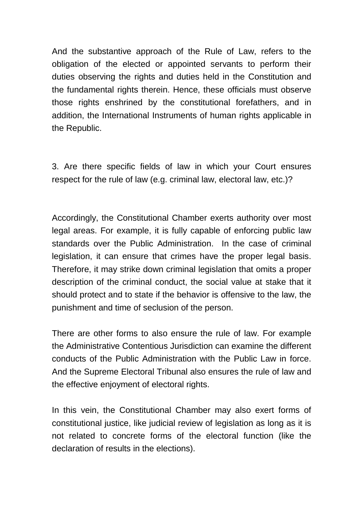And the substantive approach of the Rule of Law, refers to the obligation of the elected or appointed servants to perform their duties observing the rights and duties held in the Constitution and the fundamental rights therein. Hence, these officials must observe those rights enshrined by the constitutional forefathers, and in addition, the International Instruments of human rights applicable in the Republic.

3. Are there specific fields of law in which your Court ensures respect for the rule of law (e.g. criminal law, electoral law, etc.)?

Accordingly, the Constitutional Chamber exerts authority over most legal areas. For example, it is fully capable of enforcing public law standards over the Public Administration. In the case of criminal legislation, it can ensure that crimes have the proper legal basis. Therefore, it may strike down criminal legislation that omits a proper description of the criminal conduct, the social value at stake that it should protect and to state if the behavior is offensive to the law, the punishment and time of seclusion of the person.

There are other forms to also ensure the rule of law. For example the Administrative Contentious Jurisdiction can examine the different conducts of the Public Administration with the Public Law in force. And the Supreme Electoral Tribunal also ensures the rule of law and the effective enjoyment of electoral rights.

In this vein, the Constitutional Chamber may also exert forms of constitutional justice, like judicial review of legislation as long as it is not related to concrete forms of the electoral function (like the declaration of results in the elections).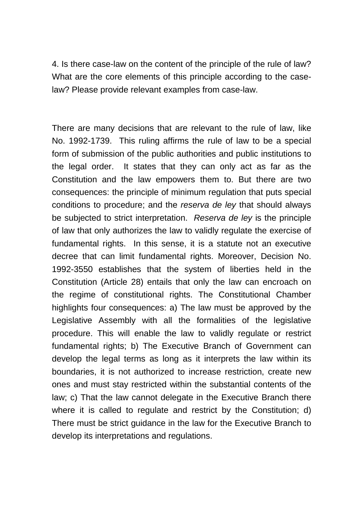4. Is there case-law on the content of the principle of the rule of law? What are the core elements of this principle according to the caselaw? Please provide relevant examples from case-law.

There are many decisions that are relevant to the rule of law, like No. 1992-1739. This ruling affirms the rule of law to be a special form of submission of the public authorities and public institutions to the legal order. It states that they can only act as far as the Constitution and the law empowers them to. But there are two consequences: the principle of minimum regulation that puts special conditions to procedure; and the *reserva de ley* that should always be subjected to strict interpretation. *Reserva de ley* is the principle of law that only authorizes the law to validly regulate the exercise of fundamental rights. In this sense, it is a statute not an executive decree that can limit fundamental rights. Moreover, Decision No. 1992-3550 establishes that the system of liberties held in the Constitution (Article 28) entails that only the law can encroach on the regime of constitutional rights. The Constitutional Chamber highlights four consequences: a) The law must be approved by the Legislative Assembly with all the formalities of the legislative procedure. This will enable the law to validly regulate or restrict fundamental rights; b) The Executive Branch of Government can develop the legal terms as long as it interprets the law within its boundaries, it is not authorized to increase restriction, create new ones and must stay restricted within the substantial contents of the law; c) That the law cannot delegate in the Executive Branch there where it is called to regulate and restrict by the Constitution; d) There must be strict guidance in the law for the Executive Branch to develop its interpretations and regulations.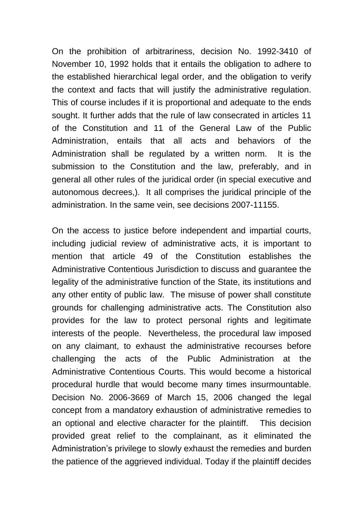On the prohibition of arbitrariness, decision No. 1992-3410 of November 10, 1992 holds that it entails the obligation to adhere to the established hierarchical legal order, and the obligation to verify the context and facts that will justify the administrative regulation. This of course includes if it is proportional and adequate to the ends sought. It further adds that the rule of law consecrated in articles 11 of the Constitution and 11 of the General Law of the Public Administration, entails that all acts and behaviors of the Administration shall be regulated by a written norm. It is the submission to the Constitution and the law, preferably, and in general all other rules of the juridical order (in special executive and autonomous decrees,). It all comprises the juridical principle of the administration. In the same vein, see decisions 2007-11155.

On the access to justice before independent and impartial courts, including judicial review of administrative acts, it is important to mention that article 49 of the Constitution establishes the Administrative Contentious Jurisdiction to discuss and guarantee the legality of the administrative function of the State, its institutions and any other entity of public law. The misuse of power shall constitute grounds for challenging administrative acts. The Constitution also provides for the law to protect personal rights and legitimate interests of the people. Nevertheless, the procedural law imposed on any claimant, to exhaust the administrative recourses before challenging the acts of the Public Administration at the Administrative Contentious Courts. This would become a historical procedural hurdle that would become many times insurmountable. Decision No. 2006-3669 of March 15, 2006 changed the legal concept from a mandatory exhaustion of administrative remedies to an optional and elective character for the plaintiff. This decision provided great relief to the complainant, as it eliminated the Administration's privilege to slowly exhaust the remedies and burden the patience of the aggrieved individual. Today if the plaintiff decides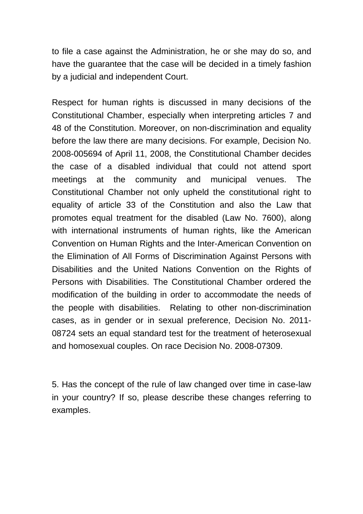to file a case against the Administration, he or she may do so, and have the guarantee that the case will be decided in a timely fashion by a judicial and independent Court.

Respect for human rights is discussed in many decisions of the Constitutional Chamber, especially when interpreting articles 7 and 48 of the Constitution. Moreover, on non-discrimination and equality before the law there are many decisions. For example, Decision No. 2008-005694 of April 11, 2008, the Constitutional Chamber decides the case of a disabled individual that could not attend sport meetings at the community and municipal venues. The Constitutional Chamber not only upheld the constitutional right to equality of article 33 of the Constitution and also the Law that promotes equal treatment for the disabled (Law No. 7600), along with international instruments of human rights, like the American Convention on Human Rights and the Inter-American Convention on the Elimination of All Forms of Discrimination Against Persons with Disabilities and the United Nations Convention on the Rights of Persons with Disabilities. The Constitutional Chamber ordered the modification of the building in order to accommodate the needs of the people with disabilities. Relating to other non-discrimination cases, as in gender or in sexual preference, Decision No. 2011- 08724 sets an equal standard test for the treatment of heterosexual and homosexual couples. On race Decision No. 2008-07309.

5. Has the concept of the rule of law changed over time in case-law in your country? If so, please describe these changes referring to examples.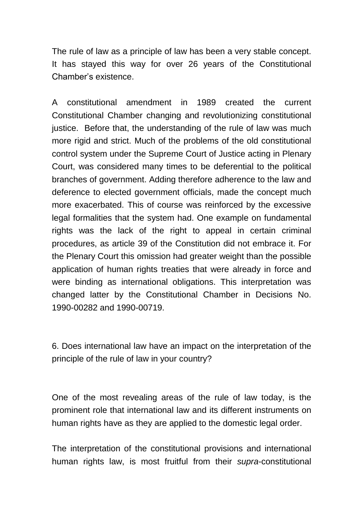The rule of law as a principle of law has been a very stable concept. It has stayed this way for over 26 years of the Constitutional Chamber's existence.

A constitutional amendment in 1989 created the current Constitutional Chamber changing and revolutionizing constitutional justice. Before that, the understanding of the rule of law was much more rigid and strict. Much of the problems of the old constitutional control system under the Supreme Court of Justice acting in Plenary Court, was considered many times to be deferential to the political branches of government. Adding therefore adherence to the law and deference to elected government officials, made the concept much more exacerbated. This of course was reinforced by the excessive legal formalities that the system had. One example on fundamental rights was the lack of the right to appeal in certain criminal procedures, as article 39 of the Constitution did not embrace it. For the Plenary Court this omission had greater weight than the possible application of human rights treaties that were already in force and were binding as international obligations. This interpretation was changed latter by the Constitutional Chamber in Decisions No. 1990-00282 and 1990-00719.

6. Does international law have an impact on the interpretation of the principle of the rule of law in your country?

One of the most revealing areas of the rule of law today, is the prominent role that international law and its different instruments on human rights have as they are applied to the domestic legal order.

The interpretation of the constitutional provisions and international human rights law, is most fruitful from their *supra*-constitutional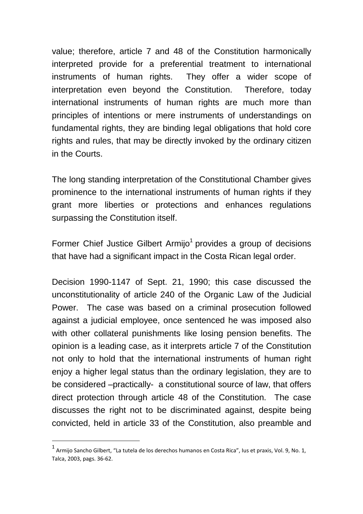value; therefore, article 7 and 48 of the Constitution harmonically interpreted provide for a preferential treatment to international instruments of human rights. They offer a wider scope of interpretation even beyond the Constitution. Therefore, today international instruments of human rights are much more than principles of intentions or mere instruments of understandings on fundamental rights, they are binding legal obligations that hold core rights and rules, that may be directly invoked by the ordinary citizen in the Courts.

The long standing interpretation of the Constitutional Chamber gives prominence to the international instruments of human rights if they grant more liberties or protections and enhances regulations surpassing the Constitution itself.

Former Chief Justice Gilbert Armijo<sup>1</sup> provides a group of decisions that have had a significant impact in the Costa Rican legal order.

Decision 1990-1147 of Sept. 21, 1990; this case discussed the unconstitutionality of article 240 of the Organic Law of the Judicial Power. The case was based on a criminal prosecution followed against a judicial employee, once sentenced he was imposed also with other collateral punishments like losing pension benefits. The opinion is a leading case, as it interprets article 7 of the Constitution not only to hold that the international instruments of human right enjoy a higher legal status than the ordinary legislation, they are to be considered –practically- a constitutional source of law, that offers direct protection through article 48 of the Constitution. The case discusses the right not to be discriminated against, despite being convicted, held in article 33 of the Constitution, also preamble and

1

<sup>1</sup> Armijo Sancho Gilbert, "La tutela de los derechos humanos en Costa Rica", Ius et praxis, Vol. 9, No. 1, Talca, 2003, pags. 36-62.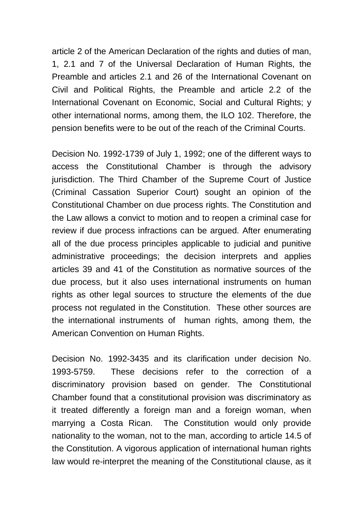article 2 of the American Declaration of the rights and duties of man, 1, 2.1 and 7 of the Universal Declaration of Human Rights, the Preamble and articles 2.1 and 26 of the International Covenant on Civil and Political Rights, the Preamble and article 2.2 of the International Covenant on Economic, Social and Cultural Rights; y other international norms, among them, the ILO 102. Therefore, the pension benefits were to be out of the reach of the Criminal Courts.

Decision No. 1992-1739 of July 1, 1992; one of the different ways to access the Constitutional Chamber is through the advisory jurisdiction. The Third Chamber of the Supreme Court of Justice (Criminal Cassation Superior Court) sought an opinion of the Constitutional Chamber on due process rights. The Constitution and the Law allows a convict to motion and to reopen a criminal case for review if due process infractions can be argued. After enumerating all of the due process principles applicable to judicial and punitive administrative proceedings; the decision interprets and applies articles 39 and 41 of the Constitution as normative sources of the due process, but it also uses international instruments on human rights as other legal sources to structure the elements of the due process not regulated in the Constitution. These other sources are the international instruments of human rights, among them, the American Convention on Human Rights.

Decision No. 1992-3435 and its clarification under decision No. 1993-5759. These decisions refer to the correction of a discriminatory provision based on gender. The Constitutional Chamber found that a constitutional provision was discriminatory as it treated differently a foreign man and a foreign woman, when marrying a Costa Rican. The Constitution would only provide nationality to the woman, not to the man, according to article 14.5 of the Constitution. A vigorous application of international human rights law would re-interpret the meaning of the Constitutional clause, as it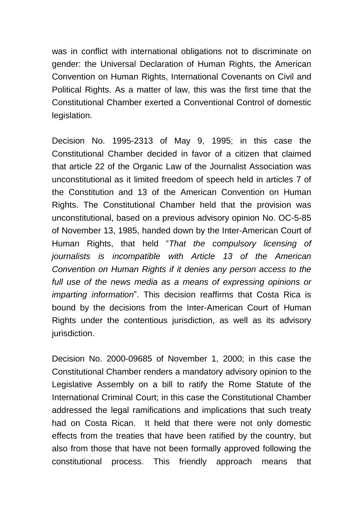was in conflict with international obligations not to discriminate on gender: the Universal Declaration of Human Rights, the American Convention on Human Rights, International Covenants on Civil and Political Rights. As a matter of law, this was the first time that the Constitutional Chamber exerted a Conventional Control of domestic legislation.

Decision No. 1995-2313 of May 9, 1995; in this case the Constitutional Chamber decided in favor of a citizen that claimed that article 22 of the Organic Law of the Journalist Association was unconstitutional as it limited freedom of speech held in articles 7 of the Constitution and 13 of the American Convention on Human Rights. The Constitutional Chamber held that the provision was unconstitutional, based on a previous advisory opinion No. OC-5-85 of November 13, 1985, handed down by the Inter-American Court of Human Rights, that held "*That the compulsory licensing of journalists is incompatible with Article 13 of the American Convention on Human Rights if it denies any person access to the full use of the news media as a means of expressing opinions or imparting information*". This decision reaffirms that Costa Rica is bound by the decisions from the Inter-American Court of Human Rights under the contentious jurisdiction, as well as its advisory jurisdiction.

Decision No. 2000-09685 of November 1, 2000; in this case the Constitutional Chamber renders a mandatory advisory opinion to the Legislative Assembly on a bill to ratify the Rome Statute of the International Criminal Court; in this case the Constitutional Chamber addressed the legal ramifications and implications that such treaty had on Costa Rican. It held that there were not only domestic effects from the treaties that have been ratified by the country, but also from those that have not been formally approved following the constitutional process. This friendly approach means that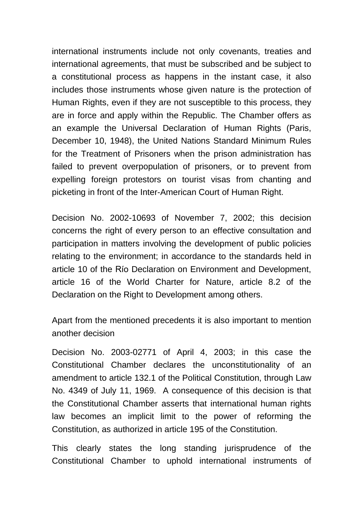international instruments include not only covenants, treaties and international agreements, that must be subscribed and be subject to a constitutional process as happens in the instant case, it also includes those instruments whose given nature is the protection of Human Rights, even if they are not susceptible to this process, they are in force and apply within the Republic. The Chamber offers as an example the Universal Declaration of Human Rights (Paris, December 10, 1948), the United Nations Standard Minimum Rules for the Treatment of Prisoners when the prison administration has failed to prevent overpopulation of prisoners, or to prevent from expelling foreign protestors on tourist visas from chanting and picketing in front of the Inter-American Court of Human Right.

Decision No. 2002-10693 of November 7, 2002; this decision concerns the right of every person to an effective consultation and participation in matters involving the development of public policies relating to the environment; in accordance to the standards held in article 10 of the Río Declaration on Environment and Development, article 16 of the World Charter for Nature, article 8.2 of the Declaration on the Right to Development among others.

Apart from the mentioned precedents it is also important to mention another decision

Decision No. 2003-02771 of April 4, 2003; in this case the Constitutional Chamber declares the unconstitutionality of an amendment to article 132.1 of the Political Constitution, through Law No. 4349 of July 11, 1969. A consequence of this decision is that the Constitutional Chamber asserts that international human rights law becomes an implicit limit to the power of reforming the Constitution, as authorized in article 195 of the Constitution.

This clearly states the long standing jurisprudence of the Constitutional Chamber to uphold international instruments of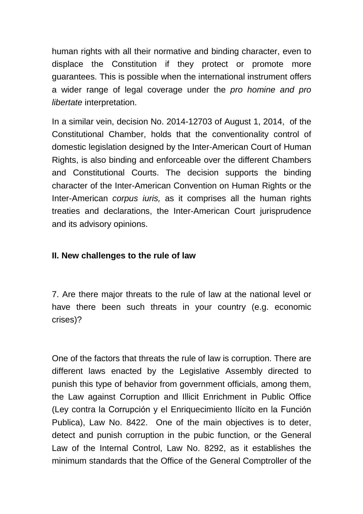human rights with all their normative and binding character, even to displace the Constitution if they protect or promote more guarantees. This is possible when the international instrument offers a wider range of legal coverage under the *pro homine and pro libertate* interpretation.

In a similar vein, decision No. 2014-12703 of August 1, 2014, of the Constitutional Chamber, holds that the conventionality control of domestic legislation designed by the Inter-American Court of Human Rights, is also binding and enforceable over the different Chambers and Constitutional Courts. The decision supports the binding character of the Inter-American Convention on Human Rights or the Inter-American *corpus iuris,* as it comprises all the human rights treaties and declarations, the Inter-American Court jurisprudence and its advisory opinions.

### **II. New challenges to the rule of law**

7. Are there major threats to the rule of law at the national level or have there been such threats in your country (e.g. economic crises)?

One of the factors that threats the rule of law is corruption. There are different laws enacted by the Legislative Assembly directed to punish this type of behavior from government officials, among them, the Law against Corruption and Illicit Enrichment in Public Office (Ley contra la Corrupción y el Enriquecimiento Ilícito en la Función Publica), Law No. 8422. One of the main objectives is to deter, detect and punish corruption in the pubic function, or the General Law of the Internal Control, Law No. 8292, as it establishes the minimum standards that the Office of the General Comptroller of the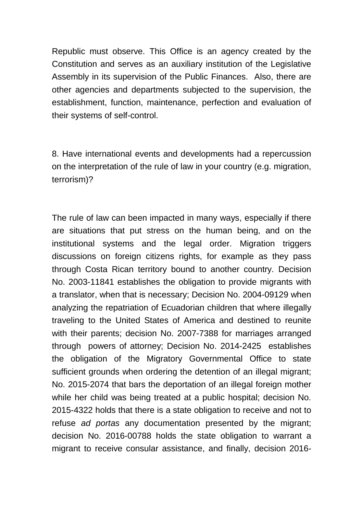Republic must observe. This Office is an agency created by the Constitution and serves as an auxiliary institution of the Legislative Assembly in its supervision of the Public Finances. Also, there are other agencies and departments subjected to the supervision, the establishment, function, maintenance, perfection and evaluation of their systems of self-control.

8. Have international events and developments had a repercussion on the interpretation of the rule of law in your country (e.g. migration, terrorism)?

The rule of law can been impacted in many ways, especially if there are situations that put stress on the human being, and on the institutional systems and the legal order. Migration triggers discussions on foreign citizens rights, for example as they pass through Costa Rican territory bound to another country. Decision No. 2003-11841 establishes the obligation to provide migrants with a translator, when that is necessary; Decision No. 2004-09129 when analyzing the repatriation of Ecuadorian children that where illegally traveling to the United States of America and destined to reunite with their parents; decision No. 2007-7388 for marriages arranged through powers of attorney; Decision No. 2014-2425 establishes the obligation of the Migratory Governmental Office to state sufficient grounds when ordering the detention of an illegal migrant; No. 2015-2074 that bars the deportation of an illegal foreign mother while her child was being treated at a public hospital; decision No. 2015-4322 holds that there is a state obligation to receive and not to refuse *ad portas* any documentation presented by the migrant; decision No. 2016-00788 holds the state obligation to warrant a migrant to receive consular assistance, and finally, decision 2016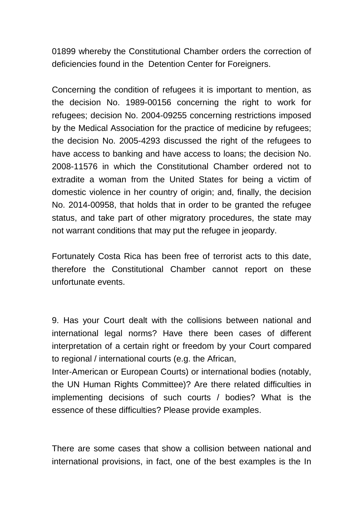01899 whereby the Constitutional Chamber orders the correction of deficiencies found in the Detention Center for Foreigners.

Concerning the condition of refugees it is important to mention, as the decision No. 1989-00156 concerning the right to work for refugees; decision No. 2004-09255 concerning restrictions imposed by the Medical Association for the practice of medicine by refugees; the decision No. 2005-4293 discussed the right of the refugees to have access to banking and have access to loans; the decision No. 2008-11576 in which the Constitutional Chamber ordered not to extradite a woman from the United States for being a victim of domestic violence in her country of origin; and, finally, the decision No. 2014-00958, that holds that in order to be granted the refugee status, and take part of other migratory procedures, the state may not warrant conditions that may put the refugee in jeopardy.

Fortunately Costa Rica has been free of terrorist acts to this date, therefore the Constitutional Chamber cannot report on these unfortunate events.

9. Has your Court dealt with the collisions between national and international legal norms? Have there been cases of different interpretation of a certain right or freedom by your Court compared to regional / international courts (e.g. the African,

Inter-American or European Courts) or international bodies (notably, the UN Human Rights Committee)? Are there related difficulties in implementing decisions of such courts / bodies? What is the essence of these difficulties? Please provide examples.

There are some cases that show a collision between national and international provisions, in fact, one of the best examples is the In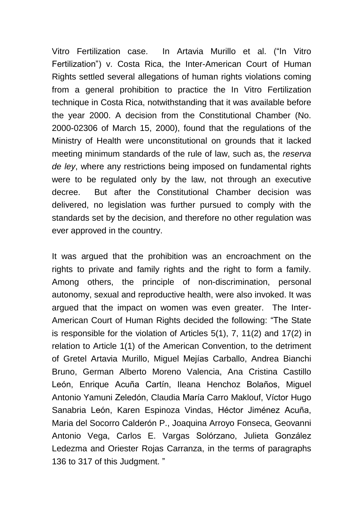Vitro Fertilization case. In Artavia Murillo et al. ("In Vitro Fertilization") v. Costa Rica, the Inter-American Court of Human Rights settled several allegations of human rights violations coming from a general prohibition to practice the In Vitro Fertilization technique in Costa Rica, notwithstanding that it was available before the year 2000. A decision from the Constitutional Chamber (No. 2000-02306 of March 15, 2000), found that the regulations of the Ministry of Health were unconstitutional on grounds that it lacked meeting minimum standards of the rule of law, such as, the *reserva de ley*, where any restrictions being imposed on fundamental rights were to be regulated only by the law, not through an executive decree. But after the Constitutional Chamber decision was delivered, no legislation was further pursued to comply with the standards set by the decision, and therefore no other regulation was ever approved in the country.

It was argued that the prohibition was an encroachment on the rights to private and family rights and the right to form a family. Among others, the principle of non-discrimination, personal autonomy, sexual and reproductive health, were also invoked. It was argued that the impact on women was even greater. The Inter-American Court of Human Rights decided the following: "The State is responsible for the violation of Articles 5(1), 7, 11(2) and 17(2) in relation to Article 1(1) of the American Convention, to the detriment of Gretel Artavia Murillo, Miguel Mejías Carballo, Andrea Bianchi Bruno, German Alberto Moreno Valencia, Ana Cristina Castillo León, Enrique Acuña Cartín, Ileana Henchoz Bolaños, Miguel Antonio Yamuni Zeledón, Claudia María Carro Maklouf, Víctor Hugo Sanabria León, Karen Espinoza Vindas, Héctor Jiménez Acuña, Maria del Socorro Calderón P., Joaquina Arroyo Fonseca, Geovanni Antonio Vega, Carlos E. Vargas Solórzano, Julieta González Ledezma and Oriester Rojas Carranza, in the terms of paragraphs 136 to 317 of this Judgment. "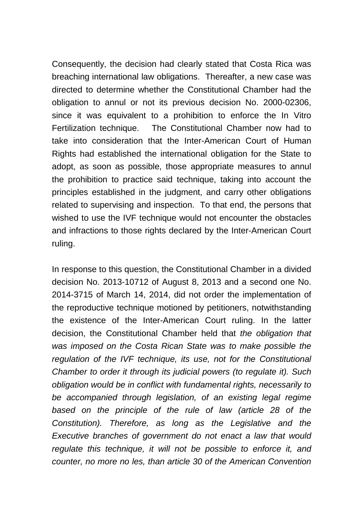Consequently, the decision had clearly stated that Costa Rica was breaching international law obligations. Thereafter, a new case was directed to determine whether the Constitutional Chamber had the obligation to annul or not its previous decision No. 2000-02306, since it was equivalent to a prohibition to enforce the In Vitro Fertilization technique. The Constitutional Chamber now had to take into consideration that the Inter-American Court of Human Rights had established the international obligation for the State to adopt, as soon as possible, those appropriate measures to annul the prohibition to practice said technique, taking into account the principles established in the judgment, and carry other obligations related to supervising and inspection. To that end, the persons that wished to use the IVF technique would not encounter the obstacles and infractions to those rights declared by the Inter-American Court ruling.

In response to this question, the Constitutional Chamber in a divided decision No. 2013-10712 of August 8, 2013 and a second one No. 2014-3715 of March 14, 2014, did not order the implementation of the reproductive technique motioned by petitioners, notwithstanding the existence of the Inter-American Court ruling. In the latter decision, the Constitutional Chamber held that *the obligation that was imposed on the Costa Rican State was to make possible the regulation of the IVF technique, its use, not for the Constitutional Chamber to order it through its judicial powers (to regulate it). Such obligation would be in conflict with fundamental rights, necessarily to be accompanied through legislation, of an existing legal regime based on the principle of the rule of law (article 28 of the Constitution). Therefore, as long as the Legislative and the Executive branches of government do not enact a law that would regulate this technique, it will not be possible to enforce it, and counter, no more no les, than article 30 of the American Convention*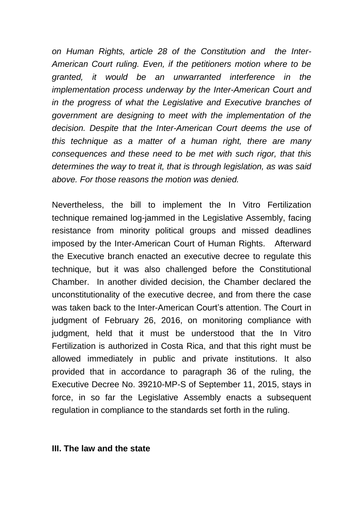*on Human Rights, article 28 of the Constitution and the Inter-American Court ruling. Even, if the petitioners motion where to be granted, it would be an unwarranted interference in the implementation process underway by the Inter-American Court and in the progress of what the Legislative and Executive branches of government are designing to meet with the implementation of the decision. Despite that the Inter-American Court deems the use of this technique as a matter of a human right, there are many consequences and these need to be met with such rigor, that this determines the way to treat it, that is through legislation, as was said above. For those reasons the motion was denied.*

Nevertheless, the bill to implement the In Vitro Fertilization technique remained log-jammed in the Legislative Assembly, facing resistance from minority political groups and missed deadlines imposed by the Inter-American Court of Human Rights. Afterward the Executive branch enacted an executive decree to regulate this technique, but it was also challenged before the Constitutional Chamber. In another divided decision, the Chamber declared the unconstitutionality of the executive decree, and from there the case was taken back to the Inter-American Court's attention. The Court in judgment of February 26, 2016, on monitoring compliance with judgment, held that it must be understood that the In Vitro Fertilization is authorized in Costa Rica, and that this right must be allowed immediately in public and private institutions. It also provided that in accordance to paragraph 36 of the ruling, the Executive Decree No. 39210-MP-S of September 11, 2015, stays in force, in so far the Legislative Assembly enacts a subsequent regulation in compliance to the standards set forth in the ruling.

#### **III. The law and the state**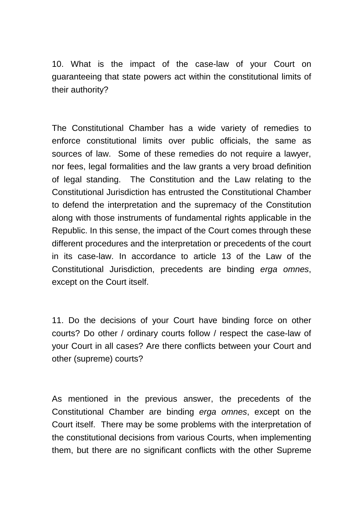10. What is the impact of the case-law of your Court on guaranteeing that state powers act within the constitutional limits of their authority?

The Constitutional Chamber has a wide variety of remedies to enforce constitutional limits over public officials, the same as sources of law. Some of these remedies do not require a lawyer, nor fees, legal formalities and the law grants a very broad definition of legal standing. The Constitution and the Law relating to the Constitutional Jurisdiction has entrusted the Constitutional Chamber to defend the interpretation and the supremacy of the Constitution along with those instruments of fundamental rights applicable in the Republic. In this sense, the impact of the Court comes through these different procedures and the interpretation or precedents of the court in its case-law. In accordance to article 13 of the Law of the Constitutional Jurisdiction, precedents are binding *erga omnes*, except on the Court itself.

11. Do the decisions of your Court have binding force on other courts? Do other / ordinary courts follow / respect the case-law of your Court in all cases? Are there conflicts between your Court and other (supreme) courts?

As mentioned in the previous answer, the precedents of the Constitutional Chamber are binding *erga omnes*, except on the Court itself. There may be some problems with the interpretation of the constitutional decisions from various Courts, when implementing them, but there are no significant conflicts with the other Supreme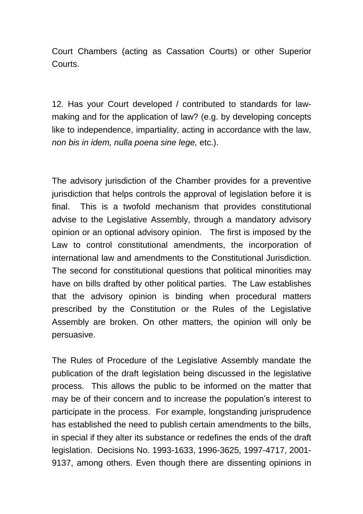Court Chambers (acting as Cassation Courts) or other Superior Courts.

12. Has your Court developed / contributed to standards for lawmaking and for the application of law? (e.g. by developing concepts like to independence, impartiality, acting in accordance with the law, *non bis in idem, nulla poena sine lege,* etc.).

The advisory jurisdiction of the Chamber provides for a preventive jurisdiction that helps controls the approval of legislation before it is final. This is a twofold mechanism that provides constitutional advise to the Legislative Assembly, through a mandatory advisory opinion or an optional advisory opinion. The first is imposed by the Law to control constitutional amendments, the incorporation of international law and amendments to the Constitutional Jurisdiction. The second for constitutional questions that political minorities may have on bills drafted by other political parties. The Law establishes that the advisory opinion is binding when procedural matters prescribed by the Constitution or the Rules of the Legislative Assembly are broken. On other matters, the opinion will only be persuasive.

The Rules of Procedure of the Legislative Assembly mandate the publication of the draft legislation being discussed in the legislative process. This allows the public to be informed on the matter that may be of their concern and to increase the population's interest to participate in the process. For example, longstanding jurisprudence has established the need to publish certain amendments to the bills, in special if they alter its substance or redefines the ends of the draft legislation. Decisions No. 1993-1633, 1996-3625, 1997-4717, 2001- 9137, among others. Even though there are dissenting opinions in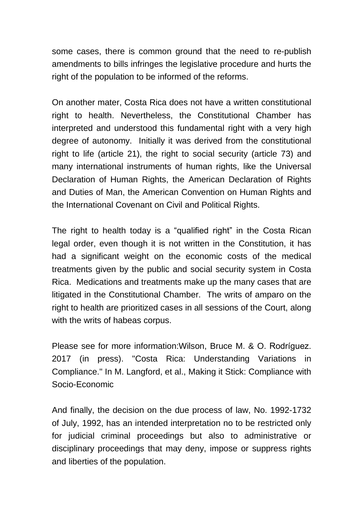some cases, there is common ground that the need to re-publish amendments to bills infringes the legislative procedure and hurts the right of the population to be informed of the reforms.

On another mater, Costa Rica does not have a written constitutional right to health. Nevertheless, the Constitutional Chamber has interpreted and understood this fundamental right with a very high degree of autonomy. Initially it was derived from the constitutional right to life (article 21), the right to social security (article 73) and many international instruments of human rights, like the Universal Declaration of Human Rights, the American Declaration of Rights and Duties of Man, the American Convention on Human Rights and the International Covenant on Civil and Political Rights.

The right to health today is a "qualified right" in the Costa Rican legal order, even though it is not written in the Constitution, it has had a significant weight on the economic costs of the medical treatments given by the public and social security system in Costa Rica. Medications and treatments make up the many cases that are litigated in the Constitutional Chamber. The writs of amparo on the right to health are prioritized cases in all sessions of the Court, along with the writs of habeas corpus.

Please see for more information:Wilson, Bruce M. & O. Rodríguez. 2017 (in press). "Costa Rica: Understanding Variations in Compliance." In M. Langford, et al., Making it Stick: Compliance with Socio-Economic

And finally, the decision on the due process of law, No. 1992-1732 of July, 1992, has an intended interpretation no to be restricted only for judicial criminal proceedings but also to administrative or disciplinary proceedings that may deny, impose or suppress rights and liberties of the population.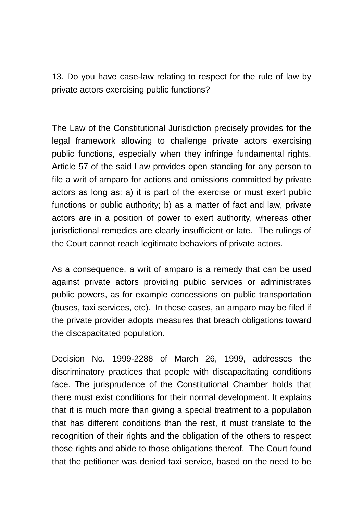13. Do you have case-law relating to respect for the rule of law by private actors exercising public functions?

The Law of the Constitutional Jurisdiction precisely provides for the legal framework allowing to challenge private actors exercising public functions, especially when they infringe fundamental rights. Article 57 of the said Law provides open standing for any person to file a writ of amparo for actions and omissions committed by private actors as long as: a) it is part of the exercise or must exert public functions or public authority; b) as a matter of fact and law, private actors are in a position of power to exert authority, whereas other jurisdictional remedies are clearly insufficient or late. The rulings of the Court cannot reach legitimate behaviors of private actors.

As a consequence, a writ of amparo is a remedy that can be used against private actors providing public services or administrates public powers, as for example concessions on public transportation (buses, taxi services, etc). In these cases, an amparo may be filed if the private provider adopts measures that breach obligations toward the discapacitated population.

Decision No. 1999-2288 of March 26, 1999, addresses the discriminatory practices that people with discapacitating conditions face. The jurisprudence of the Constitutional Chamber holds that there must exist conditions for their normal development. It explains that it is much more than giving a special treatment to a population that has different conditions than the rest, it must translate to the recognition of their rights and the obligation of the others to respect those rights and abide to those obligations thereof. The Court found that the petitioner was denied taxi service, based on the need to be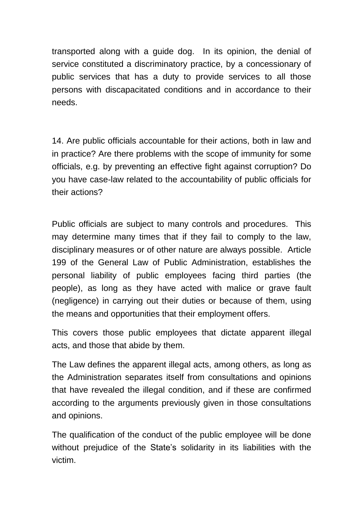transported along with a guide dog. In its opinion, the denial of service constituted a discriminatory practice, by a concessionary of public services that has a duty to provide services to all those persons with discapacitated conditions and in accordance to their needs.

14. Are public officials accountable for their actions, both in law and in practice? Are there problems with the scope of immunity for some officials, e.g. by preventing an effective fight against corruption? Do you have case-law related to the accountability of public officials for their actions?

Public officials are subject to many controls and procedures. This may determine many times that if they fail to comply to the law, disciplinary measures or of other nature are always possible. Article 199 of the General Law of Public Administration, establishes the personal liability of public employees facing third parties (the people), as long as they have acted with malice or grave fault (negligence) in carrying out their duties or because of them, using the means and opportunities that their employment offers.

This covers those public employees that dictate apparent illegal acts, and those that abide by them.

The Law defines the apparent illegal acts, among others, as long as the Administration separates itself from consultations and opinions that have revealed the illegal condition, and if these are confirmed according to the arguments previously given in those consultations and opinions.

The qualification of the conduct of the public employee will be done without prejudice of the State's solidarity in its liabilities with the victim.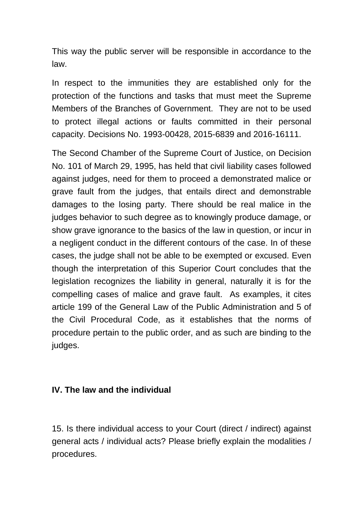This way the public server will be responsible in accordance to the law.

In respect to the immunities they are established only for the protection of the functions and tasks that must meet the Supreme Members of the Branches of Government. They are not to be used to protect illegal actions or faults committed in their personal capacity. Decisions No. 1993-00428, 2015-6839 and 2016-16111.

The Second Chamber of the Supreme Court of Justice, on Decision No. 101 of March 29, 1995, has held that civil liability cases followed against judges, need for them to proceed a demonstrated malice or grave fault from the judges, that entails direct and demonstrable damages to the losing party. There should be real malice in the judges behavior to such degree as to knowingly produce damage, or show grave ignorance to the basics of the law in question, or incur in a negligent conduct in the different contours of the case. In of these cases, the judge shall not be able to be exempted or excused. Even though the interpretation of this Superior Court concludes that the legislation recognizes the liability in general, naturally it is for the compelling cases of malice and grave fault. As examples, it cites article 199 of the General Law of the Public Administration and 5 of the Civil Procedural Code, as it establishes that the norms of procedure pertain to the public order, and as such are binding to the judges.

# **IV. The law and the individual**

15. Is there individual access to your Court (direct / indirect) against general acts / individual acts? Please briefly explain the modalities / procedures.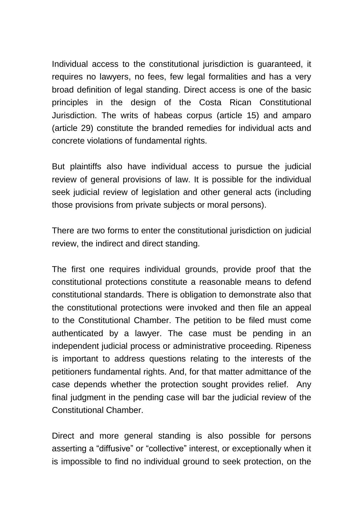Individual access to the constitutional jurisdiction is guaranteed, it requires no lawyers, no fees, few legal formalities and has a very broad definition of legal standing. Direct access is one of the basic principles in the design of the Costa Rican Constitutional Jurisdiction. The writs of habeas corpus (article 15) and amparo (article 29) constitute the branded remedies for individual acts and concrete violations of fundamental rights.

But plaintiffs also have individual access to pursue the judicial review of general provisions of law. It is possible for the individual seek judicial review of legislation and other general acts (including those provisions from private subjects or moral persons).

There are two forms to enter the constitutional jurisdiction on judicial review, the indirect and direct standing.

The first one requires individual grounds, provide proof that the constitutional protections constitute a reasonable means to defend constitutional standards. There is obligation to demonstrate also that the constitutional protections were invoked and then file an appeal to the Constitutional Chamber. The petition to be filed must come authenticated by a lawyer. The case must be pending in an independent judicial process or administrative proceeding. Ripeness is important to address questions relating to the interests of the petitioners fundamental rights. And, for that matter admittance of the case depends whether the protection sought provides relief. Any final judgment in the pending case will bar the judicial review of the Constitutional Chamber.

Direct and more general standing is also possible for persons asserting a "diffusive" or "collective" interest, or exceptionally when it is impossible to find no individual ground to seek protection, on the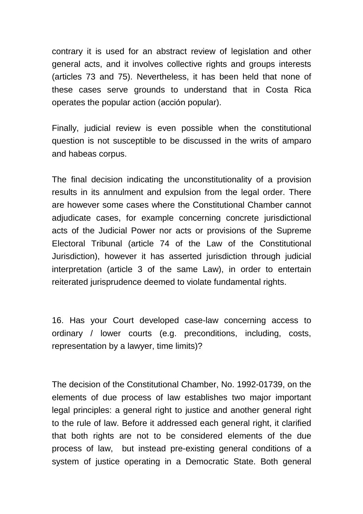contrary it is used for an abstract review of legislation and other general acts, and it involves collective rights and groups interests (articles 73 and 75). Nevertheless, it has been held that none of these cases serve grounds to understand that in Costa Rica operates the popular action (acción popular).

Finally, judicial review is even possible when the constitutional question is not susceptible to be discussed in the writs of amparo and habeas corpus.

The final decision indicating the unconstitutionality of a provision results in its annulment and expulsion from the legal order. There are however some cases where the Constitutional Chamber cannot adjudicate cases, for example concerning concrete jurisdictional acts of the Judicial Power nor acts or provisions of the Supreme Electoral Tribunal (article 74 of the Law of the Constitutional Jurisdiction), however it has asserted jurisdiction through judicial interpretation (article 3 of the same Law), in order to entertain reiterated jurisprudence deemed to violate fundamental rights.

16. Has your Court developed case-law concerning access to ordinary / lower courts (e.g. preconditions, including, costs, representation by a lawyer, time limits)?

The decision of the Constitutional Chamber, No. 1992-01739, on the elements of due process of law establishes two major important legal principles: a general right to justice and another general right to the rule of law. Before it addressed each general right, it clarified that both rights are not to be considered elements of the due process of law, but instead pre-existing general conditions of a system of justice operating in a Democratic State. Both general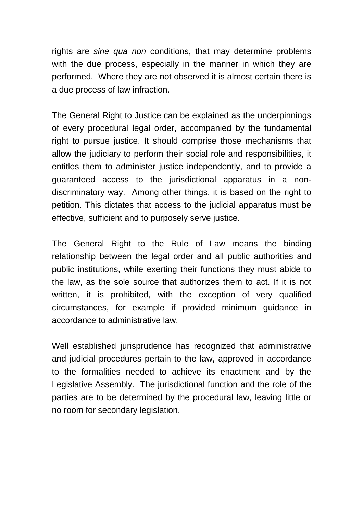rights are *sine qua non* conditions, that may determine problems with the due process, especially in the manner in which they are performed. Where they are not observed it is almost certain there is a due process of law infraction.

The General Right to Justice can be explained as the underpinnings of every procedural legal order, accompanied by the fundamental right to pursue justice. It should comprise those mechanisms that allow the judiciary to perform their social role and responsibilities, it entitles them to administer justice independently, and to provide a guaranteed access to the jurisdictional apparatus in a nondiscriminatory way. Among other things, it is based on the right to petition. This dictates that access to the judicial apparatus must be effective, sufficient and to purposely serve justice.

The General Right to the Rule of Law means the binding relationship between the legal order and all public authorities and public institutions, while exerting their functions they must abide to the law, as the sole source that authorizes them to act. If it is not written, it is prohibited, with the exception of very qualified circumstances, for example if provided minimum guidance in accordance to administrative law.

Well established jurisprudence has recognized that administrative and judicial procedures pertain to the law, approved in accordance to the formalities needed to achieve its enactment and by the Legislative Assembly. The jurisdictional function and the role of the parties are to be determined by the procedural law, leaving little or no room for secondary legislation.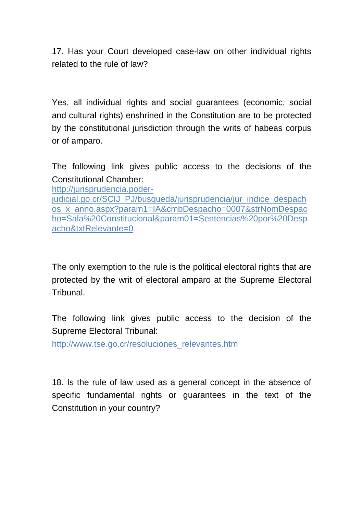17. Has your Court developed case-law on other individual rights related to the rule of law?

Yes, all individual rights and social guarantees (economic, social and cultural rights) enshrined in the Constitution are to be protected by the constitutional jurisdiction through the writs of habeas corpus or of amparo.

The following link gives public access to the decisions of the Constitutional Chamber:

[http://jurisprudencia.poder-](http://jurisprudencia.poder-judicial.go.cr/SCIJ_PJ/busqueda/jurisprudencia/jur_indice_despachos_x_anno.aspx?param1=IA&cmbDespacho=0007&strNomDespacho=Sala%20Constitucional¶m01=Sentencias%20por%20Despacho&txtRelevante=0)

[judicial.go.cr/SCIJ\\_PJ/busqueda/jurisprudencia/jur\\_indice\\_despach](http://jurisprudencia.poder-judicial.go.cr/SCIJ_PJ/busqueda/jurisprudencia/jur_indice_despachos_x_anno.aspx?param1=IA&cmbDespacho=0007&strNomDespacho=Sala%20Constitucional¶m01=Sentencias%20por%20Despacho&txtRelevante=0) [os\\_x\\_anno.aspx?param1=IA&cmbDespacho=0007&strNomDespac](http://jurisprudencia.poder-judicial.go.cr/SCIJ_PJ/busqueda/jurisprudencia/jur_indice_despachos_x_anno.aspx?param1=IA&cmbDespacho=0007&strNomDespacho=Sala%20Constitucional¶m01=Sentencias%20por%20Despacho&txtRelevante=0) [ho=Sala%20Constitucional&param01=Sentencias%20por%20Desp](http://jurisprudencia.poder-judicial.go.cr/SCIJ_PJ/busqueda/jurisprudencia/jur_indice_despachos_x_anno.aspx?param1=IA&cmbDespacho=0007&strNomDespacho=Sala%20Constitucional¶m01=Sentencias%20por%20Despacho&txtRelevante=0) [acho&txtRelevante=0](http://jurisprudencia.poder-judicial.go.cr/SCIJ_PJ/busqueda/jurisprudencia/jur_indice_despachos_x_anno.aspx?param1=IA&cmbDespacho=0007&strNomDespacho=Sala%20Constitucional¶m01=Sentencias%20por%20Despacho&txtRelevante=0) 

The only exemption to the rule is the political electoral rights that are protected by the writ of electoral amparo at the Supreme Electoral Tribunal.

The following link gives public access to the decision of the Supreme Electoral Tribunal:

http://www.tse.go.cr/resoluciones\_relevantes.htm

18. Is the rule of law used as a general concept in the absence of specific fundamental rights or guarantees in the text of the Constitution in your country?